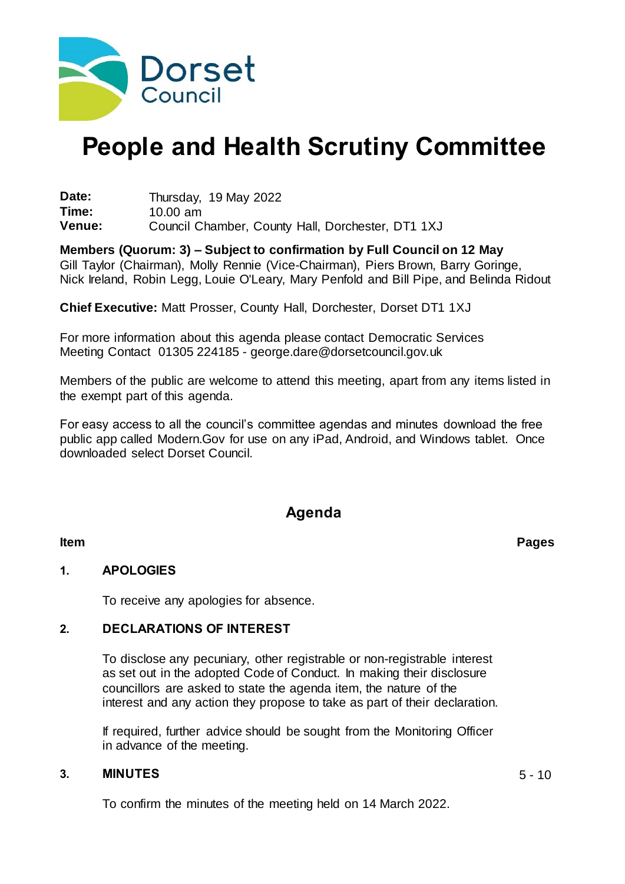

# **People and Health Scrutiny Committee**

**Date:** Thursday, 19 May 2022<br>**Time:** 10.00 am **Time:** 10.00 am Council Chamber, County Hall, Dorchester, DT1 1XJ

**Members (Quorum: 3) – Subject to confirmation by Full Council on 12 May** Gill Taylor (Chairman), Molly Rennie (Vice-Chairman), Piers Brown, Barry Goringe, Nick Ireland, Robin Legg, Louie O'Leary, Mary Penfold and Bill Pipe, and Belinda Ridout

**Chief Executive:** Matt Prosser, County Hall, Dorchester, Dorset DT1 1XJ

For more information about this agenda please contact Democratic Services Meeting Contact 01305 224185 - george.dare@dorsetcouncil.gov.uk

Members of the public are welcome to attend this meeting, apart from any items listed in the exempt part of this agenda.

For easy access to all the council's committee agendas and minutes download the free public app called Modern.Gov for use on any iPad, Android, and Windows tablet. Once downloaded select Dorset Council.

### **Agenda**

#### **1. APOLOGIES**

To receive any apologies for absence.

#### **2. DECLARATIONS OF INTEREST**

To disclose any pecuniary, other registrable or non-registrable interest as set out in the adopted Code of Conduct. In making their disclosure councillors are asked to state the agenda item, the nature of the interest and any action they propose to take as part of their declaration.

If required, further advice should be sought from the Monitoring Officer in advance of the meeting.

#### **3. MINUTES** 5 - 10

To confirm the minutes of the meeting held on 14 March 2022.

**Item Pages**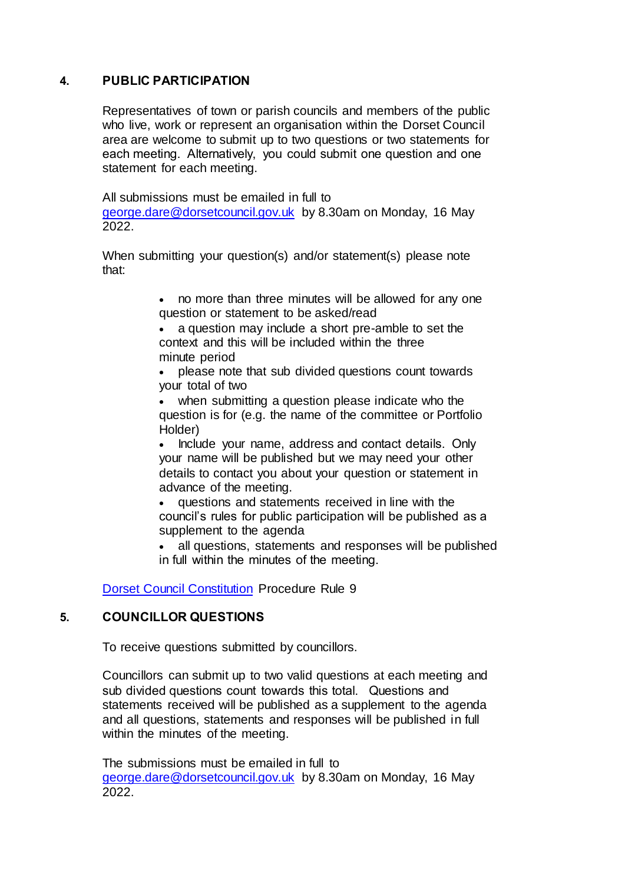#### **4. PUBLIC PARTICIPATION**

Representatives of town or parish councils and members of the public who live, work or represent an organisation within the Dorset Council area are welcome to submit up to two questions or two statements for each meeting.  Alternatively, you could submit one question and one statement for each meeting.

All submissions must be emailed in full to [george.dare@dorsetcouncil.gov.uk](mailto:george.dare@dorsetcouncil.gov.uk) by 8.30am on Monday, 16 May 2022.

When submitting your question(s) and/or statement(s) please note that:

> no more than three minutes will be allowed for any one question or statement to be asked/read

 a question may include a short pre-amble to set the context and this will be included within the three minute period

 please note that sub divided questions count towards your total of two

 when submitting a question please indicate who the question is for (e.g. the name of the committee or Portfolio Holder)

• Include your name, address and contact details. Only your name will be published but we may need your other details to contact you about your question or statement in advance of the meeting.

 questions and statements received in line with the council's rules for public participation will be published as a supplement to the agenda

 all questions, statements and responses will be published in full within the minutes of the meeting. 

[Dorset Council Constitution](https://moderngov.dorsetcouncil.gov.uk/ieListMeetings.aspx?CId=433&Year=0&info=1&MD=constitution) Procedure Rule 9

#### **5. COUNCILLOR QUESTIONS**

To receive questions submitted by councillors.

Councillors can submit up to two valid questions at each meeting and sub divided questions count towards this total.   Questions and statements received will be published as a supplement to the agenda and all questions, statements and responses will be published in full within the minutes of the meeting.

The submissions must be emailed in full to [george.dare@dorsetcouncil.gov.uk](mailto:george.dare@dorsetcouncil.gov.uk) by 8.30am on Monday, 16 May 2022.